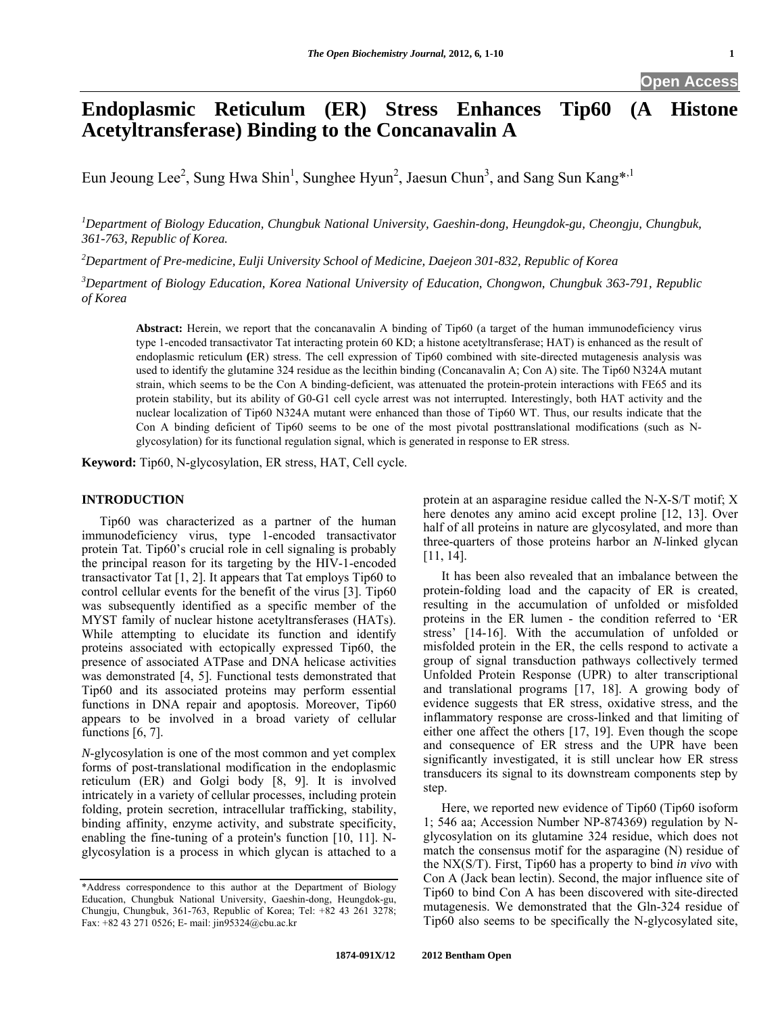# **Endoplasmic Reticulum (ER) Stress Enhances Tip60 (A Histone Acetyltransferase) Binding to the Concanavalin A**

Eun Jeoung Lee<sup>2</sup>, Sung Hwa Shin<sup>1</sup>, Sunghee Hyun<sup>2</sup>, Jaesun Chun<sup>3</sup>, and Sang Sun Kang\*<sup>,1</sup>

*1 Department of Biology Education, Chungbuk National University, Gaeshin-dong, Heungdok-gu, Cheongju, Chungbuk, 361-763, Republic of Korea.* 

*2 Department of Pre-medicine, Eulji University School of Medicine, Daejeon 301-832, Republic of Korea* 

*3 Department of Biology Education, Korea National University of Education, Chongwon, Chungbuk 363-791, Republic of Korea* 

**Abstract:** Herein, we report that the concanavalin A binding of Tip60 (a target of the human immunodeficiency virus type 1-encoded transactivator Tat interacting protein 60 KD; a histone acetyltransferase; HAT) is enhanced as the result of endoplasmic reticulum **(**ER) stress. The cell expression of Tip60 combined with site-directed mutagenesis analysis was used to identify the glutamine 324 residue as the lecithin binding (Concanavalin A; Con A) site. The Tip60 N324A mutant strain, which seems to be the Con A binding-deficient, was attenuated the protein-protein interactions with FE65 and its protein stability, but its ability of G0-G1 cell cycle arrest was not interrupted. Interestingly, both HAT activity and the nuclear localization of Tip60 N324A mutant were enhanced than those of Tip60 WT. Thus, our results indicate that the Con A binding deficient of Tip60 seems to be one of the most pivotal posttranslational modifications (such as Nglycosylation) for its functional regulation signal, which is generated in response to ER stress.

**Keyword:** Tip60, N-glycosylation, ER stress, HAT, Cell cycle.

# **INTRODUCTION**

 Tip60 was characterized as a partner of the human immunodeficiency virus, type 1-encoded transactivator protein Tat. Tip60's crucial role in cell signaling is probably the principal reason for its targeting by the HIV-1-encoded transactivator Tat [1, 2]. It appears that Tat employs Tip60 to control cellular events for the benefit of the virus [3]. Tip60 was subsequently identified as a specific member of the MYST family of nuclear histone acetyltransferases (HATs). While attempting to elucidate its function and identify proteins associated with ectopically expressed Tip60, the presence of associated ATPase and DNA helicase activities was demonstrated [4, 5]. Functional tests demonstrated that Tip60 and its associated proteins may perform essential functions in DNA repair and apoptosis. Moreover, Tip60 appears to be involved in a broad variety of cellular functions [6, 7].

*N*-glycosylation is one of the most common and yet complex forms of post-translational modification in the endoplasmic reticulum (ER) and Golgi body [8, 9]. It is involved intricately in a variety of cellular processes, including protein folding, protein secretion, intracellular trafficking, stability, binding affinity, enzyme activity, and substrate specificity, enabling the fine-tuning of a protein's function [10, 11]. Nglycosylation is a process in which glycan is attached to a

protein at an asparagine residue called the N-X-S/T motif; X here denotes any amino acid except proline [12, 13]. Over half of all proteins in nature are glycosylated, and more than three-quarters of those proteins harbor an *N*-linked glycan [11, 14].

 It has been also revealed that an imbalance between the protein-folding load and the capacity of ER is created, resulting in the accumulation of unfolded or misfolded proteins in the ER lumen - the condition referred to 'ER stress' [14-16]. With the accumulation of unfolded or misfolded protein in the ER, the cells respond to activate a group of signal transduction pathways collectively termed Unfolded Protein Response (UPR) to alter transcriptional and translational programs [17, 18]. A growing body of evidence suggests that ER stress, oxidative stress, and the inflammatory response are cross-linked and that limiting of either one affect the others [17, 19]. Even though the scope and consequence of ER stress and the UPR have been significantly investigated, it is still unclear how ER stress transducers its signal to its downstream components step by step.

 Here, we reported new evidence of Tip60 (Tip60 isoform 1; 546 aa; Accession Number NP-874369) regulation by Nglycosylation on its glutamine 324 residue, which does not match the consensus motif for the asparagine (N) residue of the NX(S/T). First, Tip60 has a property to bind *in vivo* with Con A (Jack bean lectin). Second, the major influence site of Tip60 to bind Con A has been discovered with site-directed mutagenesis. We demonstrated that the Gln-324 residue of Tip60 also seems to be specifically the N-glycosylated site,

<sup>\*</sup>Address correspondence to this author at the Department of Biology Education, Chungbuk National University, Gaeshin-dong, Heungdok-gu, Chungju, Chungbuk, 361-763, Republic of Korea; Tel: +82 43 261 3278; Fax: +82 43 271 0526; E- mail: jin95324@cbu.ac.kr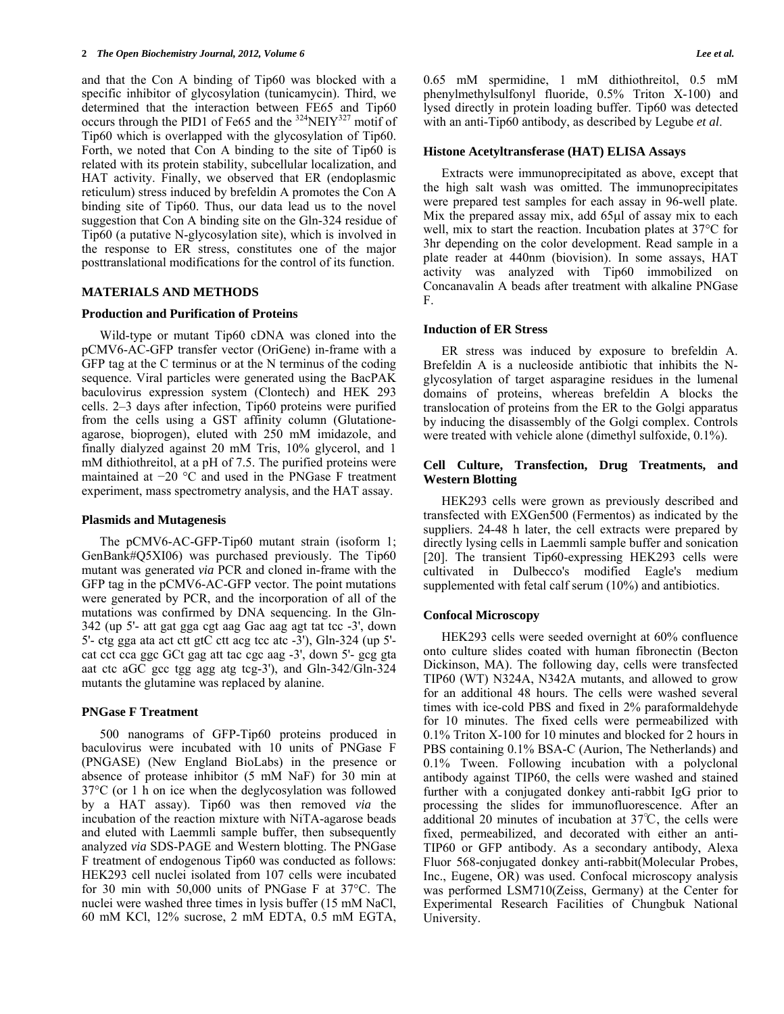#### **2** *The Open Biochemistry Journal, 2012, Volume 6 Lee et al.*

and that the Con A binding of Tip60 was blocked with a specific inhibitor of glycosylation (tunicamycin). Third, we determined that the interaction between FE65 and Tip60 occurs through the PID1 of Fe65 and the <sup>324</sup>NEIY<sup>327</sup> motif of Tip60 which is overlapped with the glycosylation of Tip60. Forth, we noted that Con A binding to the site of Tip60 is related with its protein stability, subcellular localization, and HAT activity. Finally, we observed that ER (endoplasmic reticulum) stress induced by brefeldin A promotes the Con A binding site of Tip60. Thus, our data lead us to the novel suggestion that Con A binding site on the Gln-324 residue of Tip60 (a putative N-glycosylation site), which is involved in the response to ER stress, constitutes one of the major posttranslational modifications for the control of its function.

# **MATERIALS AND METHODS**

#### **Production and Purification of Proteins**

 Wild-type or mutant Tip60 cDNA was cloned into the pCMV6-AC-GFP transfer vector (OriGene) in-frame with a GFP tag at the C terminus or at the N terminus of the coding sequence. Viral particles were generated using the BacPAK baculovirus expression system (Clontech) and HEK 293 cells. 2–3 days after infection, Tip60 proteins were purified from the cells using a GST affinity column (Glutationeagarose, bioprogen), eluted with 250 mM imidazole, and finally dialyzed against 20 mM Tris, 10% glycerol, and 1 mM dithiothreitol, at a pH of 7.5. The purified proteins were maintained at −20 °C and used in the PNGase F treatment experiment, mass spectrometry analysis, and the HAT assay.

#### **Plasmids and Mutagenesis**

The pCMV6-AC-GFP-Tip60 mutant strain (isoform 1; GenBank#Q5XI06) was purchased previously. The Tip60 mutant was generated *via* PCR and cloned in-frame with the GFP tag in the pCMV6-AC-GFP vector. The point mutations were generated by PCR, and the incorporation of all of the mutations was confirmed by DNA sequencing. In the Gln-342 (up 5'- att gat gga cgt aag Gac aag agt tat tcc -3', down 5'- ctg gga ata act ctt gtC ctt acg tcc atc -3'), Gln-324 (up 5' cat cct cca ggc GCt gag att tac cgc aag -3', down 5'- gcg gta aat ctc aGC gcc tgg agg atg tcg-3'), and Gln-342/Gln-324 mutants the glutamine was replaced by alanine.

#### **PNGase F Treatment**

500 nanograms of GFP-Tip60 proteins produced in baculovirus were incubated with 10 units of PNGase F (PNGASE) (New England BioLabs) in the presence or absence of protease inhibitor (5 mM NaF) for 30 min at 37°C (or 1 h on ice when the deglycosylation was followed by a HAT assay). Tip60 was then removed *via* the incubation of the reaction mixture with NiTA-agarose beads and eluted with Laemmli sample buffer, then subsequently analyzed *via* SDS-PAGE and Western blotting. The PNGase F treatment of endogenous Tip60 was conducted as follows: HEK293 cell nuclei isolated from 107 cells were incubated for 30 min with 50,000 units of PNGase F at 37°C. The nuclei were washed three times in lysis buffer (15 mM NaCl, 60 mM KCl, 12% sucrose, 2 mM EDTA, 0.5 mM EGTA, 0.65 mM spermidine, 1 mM dithiothreitol, 0.5 mM phenylmethylsulfonyl fluoride, 0.5% Triton X-100) and lysed directly in protein loading buffer. Tip60 was detected with an anti-Tip60 antibody, as described by Legube *et al*.

#### **Histone Acetyltransferase (HAT) ELISA Assays**

Extracts were immunoprecipitated as above, except that the high salt wash was omitted. The immunoprecipitates were prepared test samples for each assay in 96-well plate. Mix the prepared assay mix, add  $65\mu$  of assay mix to each well, mix to start the reaction. Incubation plates at  $37^{\circ}$ C for 3hr depending on the color development. Read sample in a plate reader at 440nm (biovision). In some assays, HAT activity was analyzed with Tip60 immobilized on Concanavalin A beads after treatment with alkaline PNGase F.

## **Induction of ER Stress**

ER stress was induced by exposure to brefeldin A. Brefeldin A is a nucleoside antibiotic that inhibits the Nglycosylation of target asparagine residues in the lumenal domains of proteins, whereas brefeldin A blocks the translocation of proteins from the ER to the Golgi apparatus by inducing the disassembly of the Golgi complex. Controls were treated with vehicle alone (dimethyl sulfoxide, 0.1%).

# **Cell Culture, Transfection, Drug Treatments, and Western Blotting**

 HEK293 cells were grown as previously described and transfected with EXGen500 (Fermentos) as indicated by the suppliers. 24-48 h later, the cell extracts were prepared by directly lysing cells in Laemmli sample buffer and sonication [20]. The transient Tip60-expressing HEK293 cells were cultivated in Dulbecco's modified Eagle's medium supplemented with fetal calf serum (10%) and antibiotics.

#### **Confocal Microscopy**

HEK293 cells were seeded overnight at 60% confluence onto culture slides coated with human fibronectin (Becton Dickinson, MA). The following day, cells were transfected TIP60 (WT) N324A, N342A mutants, and allowed to grow for an additional 48 hours. The cells were washed several times with ice-cold PBS and fixed in 2% paraformaldehyde for 10 minutes. The fixed cells were permeabilized with 0.1% Triton X-100 for 10 minutes and blocked for 2 hours in PBS containing 0.1% BSA-C (Aurion, The Netherlands) and 0.1% Tween. Following incubation with a polyclonal antibody against TIP60, the cells were washed and stained further with a conjugated donkey anti-rabbit IgG prior to processing the slides for immunofluorescence. After an additional 20 minutes of incubation at 37℃, the cells were fixed, permeabilized, and decorated with either an anti-TIP60 or GFP antibody. As a secondary antibody, Alexa Fluor 568-conjugated donkey anti-rabbit(Molecular Probes, Inc., Eugene, OR) was used. Confocal microscopy analysis was performed LSM710(Zeiss, Germany) at the Center for Experimental Research Facilities of Chungbuk National University.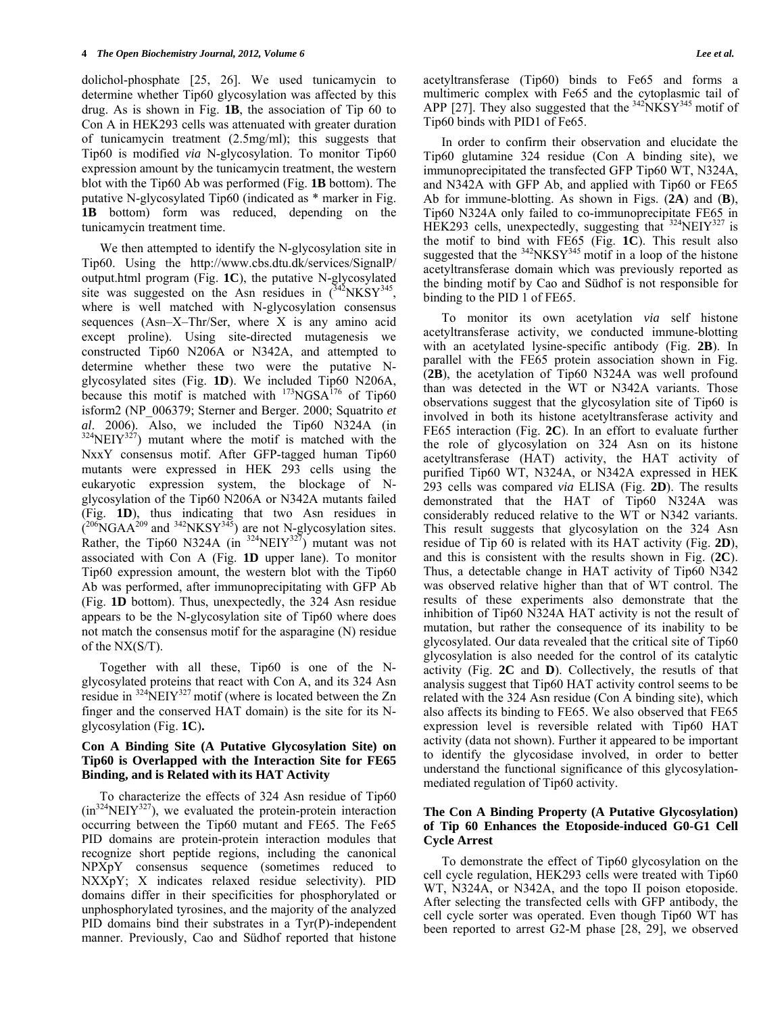dolichol-phosphate [25, 26]. We used tunicamycin to determine whether Tip60 glycosylation was affected by this drug. As is shown in Fig. **1B**, the association of Tip 60 to Con A in HEK293 cells was attenuated with greater duration of tunicamycin treatment (2.5mg/ml); this suggests that Tip60 is modified *via* N-glycosylation. To monitor Tip60 expression amount by the tunicamycin treatment, the western blot with the Tip60 Ab was performed (Fig. **1B** bottom). The putative N-glycosylated Tip60 (indicated as \* marker in Fig. **1B** bottom) form was reduced, depending on the tunicamycin treatment time.

 We then attempted to identify the N-glycosylation site in Tip60. Using the http://www.cbs.dtu.dk/services/SignalP/ output.html program (Fig. **1C**), the putative N-glycosylated site was suggested on the Asn residues in  $(^{342}NKSY^{345}$ , where is well matched with N-glycosylation consensus sequences (Asn–X–Thr/Ser, where X is any amino acid except proline). Using site-directed mutagenesis we constructed Tip60 N206A or N342A, and attempted to determine whether these two were the putative Nglycosylated sites (Fig. **1D**). We included Tip60 N206A, because this motif is matched with  $173NGSA^{176}$  of Tip60 isform2 (NP\_006379; Sterner and Berger. 2000; Squatrito *et al.* 2006). Also, we included the Tip60 N324A (in <sup>324</sup>NEIY<sup>327</sup>) mutant where the motif is matched with the NxxY consensus motif. After GFP-tagged human Tip60 mutants were expressed in HEK 293 cells using the eukaryotic expression system, the blockage of Nglycosylation of the Tip60 N206A or N342A mutants failed (Fig. **1D**), thus indicating that two Asn residues in  $(206)$ NGAA<sup>209</sup> and <sup>342</sup>NKSY<sup>345</sup>) are not N-glycosylation sites. Rather, the Tip60 N324A (in  $324$ NEIY $327$ ) mutant was not associated with Con A (Fig. **1D** upper lane). To monitor Tip60 expression amount, the western blot with the Tip60 Ab was performed, after immunoprecipitating with GFP Ab (Fig. **1D** bottom). Thus, unexpectedly, the 324 Asn residue appears to be the N-glycosylation site of Tip60 where does not match the consensus motif for the asparagine (N) residue of the NX(S/T).

 Together with all these, Tip60 is one of the Nglycosylated proteins that react with Con A, and its 324 Asn residue in  $324$ NEIY<sup>327</sup> motif (where is located between the Zn finger and the conserved HAT domain) is the site for its Nglycosylation (Fig. **1C**)**.**

# **Con A Binding Site (A Putative Glycosylation Site) on Tip60 is Overlapped with the Interaction Site for FE65 Binding, and is Related with its HAT Activity**

To characterize the effects of 324 Asn residue of Tip60  $(in324\nNEIY<sup>327</sup>)$ , we evaluated the protein-protein interaction occurring between the Tip60 mutant and FE65. The Fe65 PID domains are protein-protein interaction modules that recognize short peptide regions, including the canonical NPXpY consensus sequence (sometimes reduced to NXXpY; X indicates relaxed residue selectivity). PID domains differ in their specificities for phosphorylated or unphosphorylated tyrosines, and the majority of the analyzed PID domains bind their substrates in a Tyr(P)-independent manner. Previously, Cao and Südhof reported that histone

acetyltransferase (Tip60) binds to Fe65 and forms a multimeric complex with Fe65 and the cytoplasmic tail of APP [27]. They also suggested that the  $342\text{NKSY}^{345}$  motif of Tip60 binds with PID1 of Fe65.

 In order to confirm their observation and elucidate the Tip60 glutamine 324 residue (Con A binding site), we immunoprecipitated the transfected GFP Tip60 WT, N324A, and N342A with GFP Ab, and applied with Tip60 or FE65 Ab for immune-blotting. As shown in Figs. (**2A**) and (**B**), Tip60 N324A only failed to co-immunoprecipitate FE65 in HEK293 cells, unexpectedly, suggesting that  $324$ NEIY<sup>327</sup> is the motif to bind with FE65 (Fig. **1C**). This result also suggested that the  $342\text{NKSY}^{345}$  motif in a loop of the histone acetyltransferase domain which was previously reported as the binding motif by Cao and Südhof is not responsible for binding to the PID 1 of FE65.

 To monitor its own acetylation *via* self histone acetyltransferase activity, we conducted immune-blotting with an acetylated lysine-specific antibody (Fig. **2B**). In parallel with the FE65 protein association shown in Fig. (**2B**), the acetylation of Tip60 N324A was well profound than was detected in the WT or N342A variants. Those observations suggest that the glycosylation site of Tip60 is involved in both its histone acetyltransferase activity and FE65 interaction (Fig. **2C**). In an effort to evaluate further the role of glycosylation on 324 Asn on its histone acetyltransferase (HAT) activity, the HAT activity of purified Tip60 WT, N324A, or N342A expressed in HEK 293 cells was compared *via* ELISA (Fig. **2D**). The results demonstrated that the HAT of Tip60 N324A was considerably reduced relative to the WT or N342 variants. This result suggests that glycosylation on the 324 Asn residue of Tip 60 is related with its HAT activity (Fig. **2D**), and this is consistent with the results shown in Fig. (**2C**). Thus, a detectable change in HAT activity of Tip60 N342 was observed relative higher than that of WT control. The results of these experiments also demonstrate that the inhibition of Tip60 N324A HAT activity is not the result of mutation, but rather the consequence of its inability to be glycosylated. Our data revealed that the critical site of Tip60 glycosylation is also needed for the control of its catalytic activity (Fig. **2C** and **D**). Collectively, the resutls of that analysis suggest that Tip60 HAT activity control seems to be related with the 324 Asn residue (Con A binding site), which also affects its binding to FE65. We also observed that FE65 expression level is reversible related with Tip60 HAT activity (data not shown). Further it appeared to be important to identify the glycosidase involved, in order to better understand the functional significance of this glycosylationmediated regulation of Tip60 activity.

# **The Con A Binding Property (A Putative Glycosylation) of Tip 60 Enhances the Etoposide-induced G0-G1 Cell Cycle Arrest**

 To demonstrate the effect of Tip60 glycosylation on the cell cycle regulation, HEK293 cells were treated with Tip60 WT, N324A, or N342A, and the topo II poison etoposide. After selecting the transfected cells with GFP antibody, the cell cycle sorter was operated. Even though Tip60 WT has been reported to arrest G2-M phase [28, 29], we observed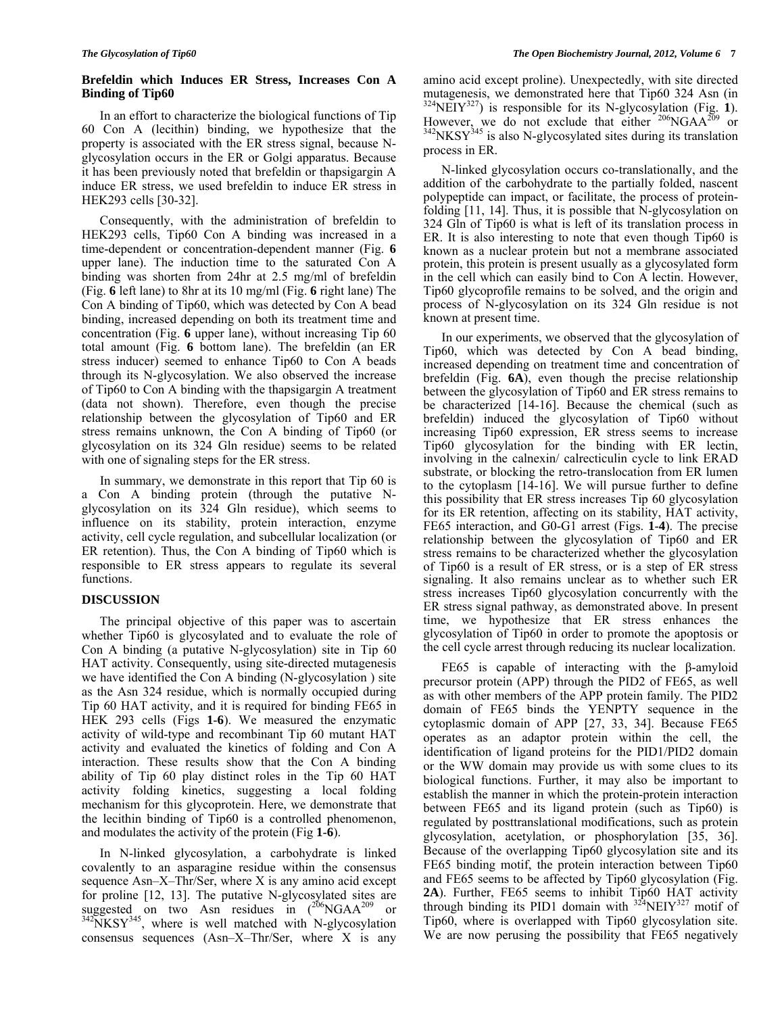# **Brefeldin which Induces ER Stress, Increases Con A Binding of Tip60**

In an effort to characterize the biological functions of Tip 60 Con A (lecithin) binding, we hypothesize that the property is associated with the ER stress signal, because Nglycosylation occurs in the ER or Golgi apparatus. Because it has been previously noted that brefeldin or thapsigargin A induce ER stress, we used brefeldin to induce ER stress in HEK293 cells [30-32].

 Consequently, with the administration of brefeldin to HEK293 cells, Tip60 Con A binding was increased in a time-dependent or concentration-dependent manner (Fig. **6** upper lane). The induction time to the saturated Con A binding was shorten from 24hr at 2.5 mg/ml of brefeldin (Fig. **6** left lane) to 8hr at its 10 mg/ml (Fig. **6** right lane) The Con A binding of Tip60, which was detected by Con A bead binding, increased depending on both its treatment time and concentration (Fig. **6** upper lane), without increasing Tip 60 total amount (Fig. **6** bottom lane). The brefeldin (an ER stress inducer) seemed to enhance Tip60 to Con A beads through its N-glycosylation. We also observed the increase of Tip60 to Con A binding with the thapsigargin A treatment (data not shown). Therefore, even though the precise relationship between the glycosylation of Tip60 and ER stress remains unknown, the Con A binding of Tip60 (or glycosylation on its 324 Gln residue) seems to be related with one of signaling steps for the ER stress.

 In summary, we demonstrate in this report that Tip 60 is a Con A binding protein (through the putative Nglycosylation on its 324 Gln residue), which seems to influence on its stability, protein interaction, enzyme activity, cell cycle regulation, and subcellular localization (or ER retention). Thus, the Con A binding of Tip60 which is responsible to ER stress appears to regulate its several functions.

# **DISCUSSION**

 The principal objective of this paper was to ascertain whether Tip60 is glycosylated and to evaluate the role of Con A binding (a putative N-glycosylation) site in Tip 60 HAT activity. Consequently, using site-directed mutagenesis we have identified the Con A binding (N-glycosylation ) site as the Asn 324 residue, which is normally occupied during Tip 60 HAT activity, and it is required for binding FE65 in HEK 293 cells (Figs **1**-**6**). We measured the enzymatic activity of wild-type and recombinant Tip 60 mutant HAT activity and evaluated the kinetics of folding and Con A interaction. These results show that the Con A binding ability of Tip 60 play distinct roles in the Tip 60 HAT activity folding kinetics, suggesting a local folding mechanism for this glycoprotein. Here, we demonstrate that the lecithin binding of Tip60 is a controlled phenomenon, and modulates the activity of the protein (Fig **1**-**6**).

 In N-linked glycosylation, a carbohydrate is linked covalently to an asparagine residue within the consensus sequence Asn–X–Thr/Ser, where X is any amino acid except for proline [12, 13]. The putative N-glycosylated sites are suggested on two Asn residues in  $(206NGAA^{209})$  or  $342NKSY^{345}$ , where is well matched with N-glycosylation consensus sequences (Asn–X–Thr/Ser, where X is any

amino acid except proline). Unexpectedly, with site directed mutagenesis, we demonstrated here that Tip60 324 Asn (in  $324$ NEIY<sup>327</sup>) is responsible for its N-glycosylation (Fig. 1). However, we do not exclude that either  $^{206}NGAA^{209}$  or  $^{342}NKSY^{345}$  is also N-glycosylated sites during its translation process in ER.

 N-linked glycosylation occurs co-translationally, and the addition of the carbohydrate to the partially folded, nascent polypeptide can impact, or facilitate, the process of proteinfolding [11, 14]. Thus, it is possible that N-glycosylation on 324 Gln of Tip60 is what is left of its translation process in ER. It is also interesting to note that even though Tip60 is known as a nuclear protein but not a membrane associated protein, this protein is present usually as a glycosylated form in the cell which can easily bind to Con A lectin. However, Tip60 glycoprofile remains to be solved, and the origin and process of N-glycosylation on its 324 Gln residue is not known at present time.

 In our experiments, we observed that the glycosylation of Tip60, which was detected by Con A bead binding, increased depending on treatment time and concentration of brefeldin (Fig. **6A**), even though the precise relationship between the glycosylation of Tip60 and ER stress remains to be characterized [14-16]. Because the chemical (such as brefeldin) induced the glycosylation of Tip60 without increasing Tip60 expression, ER stress seems to increase Tip60 glycosylation for the binding with ER lectin, involving in the calnexin/ calrecticulin cycle to link ERAD substrate, or blocking the retro-translocation from ER lumen to the cytoplasm [14-16]. We will pursue further to define this possibility that ER stress increases Tip 60 glycosylation for its ER retention, affecting on its stability, HAT activity, FE65 interaction, and G0-G1 arrest (Figs. **1**-**4**). The precise relationship between the glycosylation of Tip60 and ER stress remains to be characterized whether the glycosylation of Tip60 is a result of ER stress, or is a step of ER stress signaling. It also remains unclear as to whether such ER stress increases Tip60 glycosylation concurrently with the ER stress signal pathway, as demonstrated above. In present time, we hypothesize that ER stress enhances the glycosylation of Tip60 in order to promote the apoptosis or the cell cycle arrest through reducing its nuclear localization.

 FE65 is capable of interacting with the β-amyloid precursor protein (APP) through the PID2 of FE65, as well as with other members of the APP protein family. The PID2 domain of FE65 binds the YENPTY sequence in the cytoplasmic domain of APP [27, 33, 34]. Because FE65 operates as an adaptor protein within the cell, the identification of ligand proteins for the PID1/PID2 domain or the WW domain may provide us with some clues to its biological functions. Further, it may also be important to establish the manner in which the protein-protein interaction between FE65 and its ligand protein (such as Tip60) is regulated by posttranslational modifications, such as protein glycosylation, acetylation, or phosphorylation [35, 36]. Because of the overlapping Tip60 glycosylation site and its FE65 binding motif, the protein interaction between Tip60 and FE65 seems to be affected by Tip60 glycosylation (Fig. **2A**). Further, FE65 seems to inhibit Tip60 HAT activity through binding its PID1 domain with  $324$ NEIY<sup>327</sup> motif of Tip60, where is overlapped with Tip60 glycosylation site. We are now perusing the possibility that FE65 negatively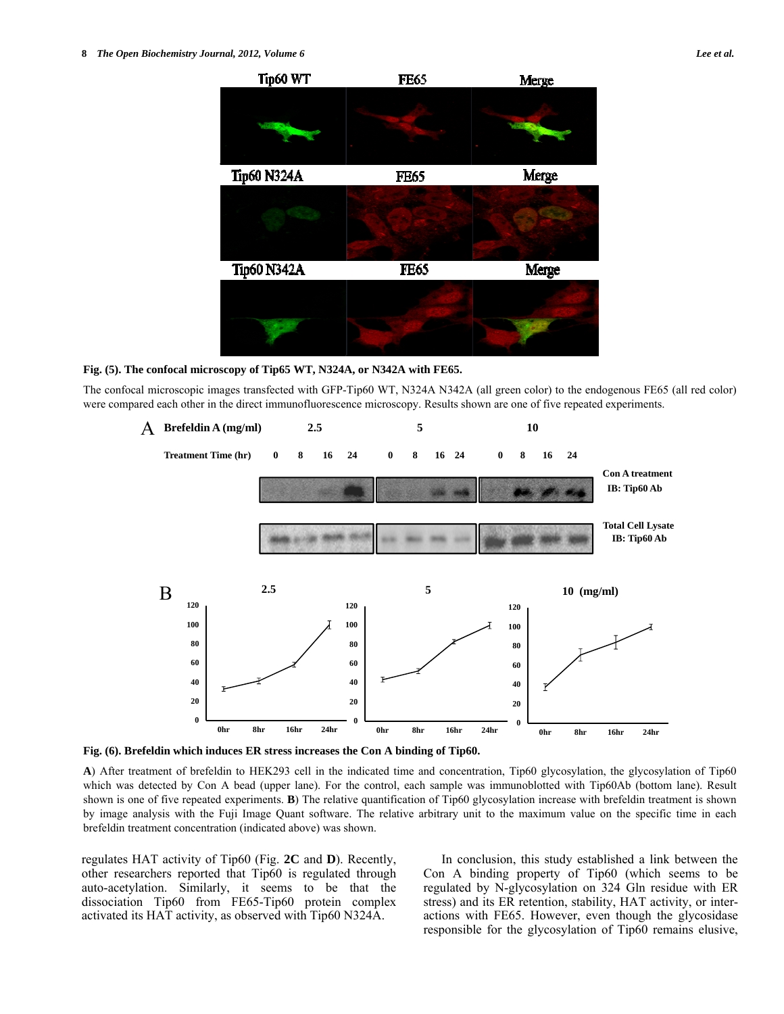# **Fig. (5). The confocal microscopy of Tip65 WT, N324A, or N342A with FE65.**

The confocal microscopic images transfected with GFP-Tip60 WT, N324A N342A (all green color) to the endogenous FE65 (all red color) were compared each other in the direct immunofluorescence microscopy. Results shown are one of five repeated experiments.





**A**) After treatment of brefeldin to HEK293 cell in the indicated time and concentration, Tip60 glycosylation, the glycosylation of Tip60 which was detected by Con A bead (upper lane). For the control, each sample was immunoblotted with Tip60Ab (bottom lane). Result shown is one of five repeated experiments. **B**) The relative quantification of Tip60 glycosylation increase with brefeldin treatment is shown by image analysis with the Fuji Image Quant software. The relative arbitrary unit to the maximum value on the specific time in each brefeldin treatment concentration (indicated above) was shown.

regulates HAT activity of Tip60 (Fig. **2C** and **D**). Recently, other researchers reported that Tip60 is regulated through auto-acetylation. Similarly, it seems to be that the dissociation Tip60 from FE65-Tip60 protein complex activated its HAT activity, as observed with Tip60 N324A.

 In conclusion, this study established a link between the Con A binding property of Tip60 (which seems to be regulated by N-glycosylation on 324 Gln residue with ER stress) and its ER retention, stability, HAT activity, or interactions with FE65. However, even though the glycosidase responsible for the glycosylation of Tip60 remains elusive,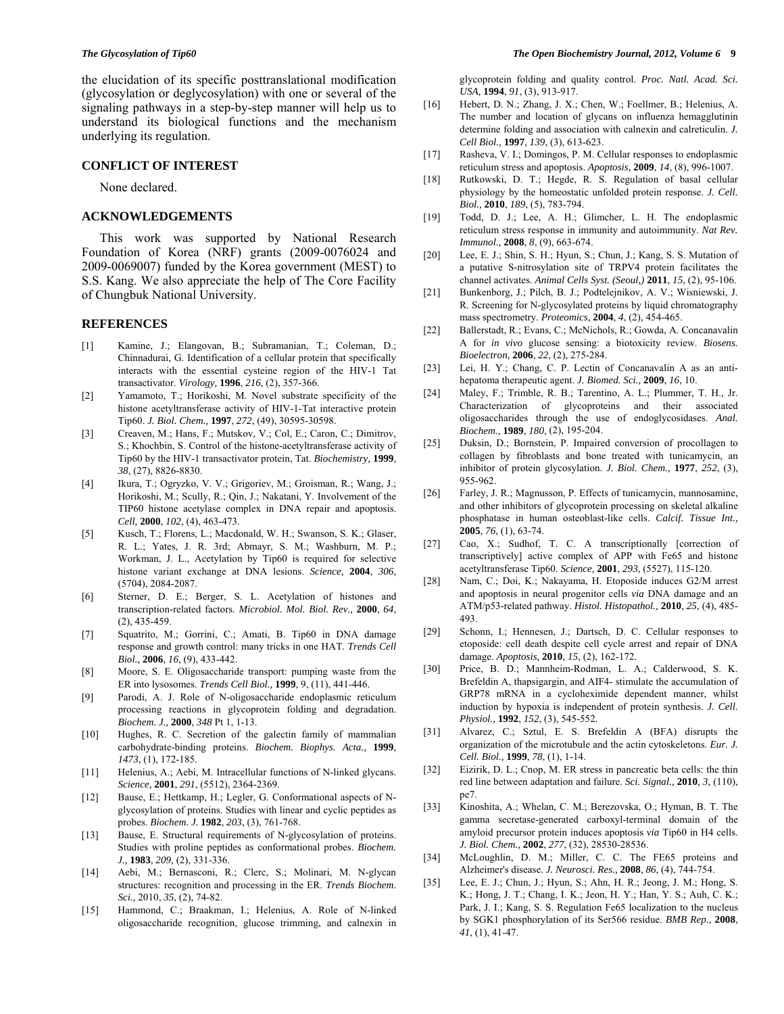the elucidation of its specific posttranslational modification (glycosylation or deglycosylation) with one or several of the signaling pathways in a step-by-step manner will help us to understand its biological functions and the mechanism underlying its regulation.

## **CONFLICT OF INTEREST**

None declared.

## **ACKNOWLEDGEMENTS**

 This work was supported by National Research Foundation of Korea (NRF) grants (2009-0076024 and 2009-0069007) funded by the Korea government (MEST) to S.S. Kang. We also appreciate the help of The Core Facility of Chungbuk National University.

# **REFERENCES**

- [1] Kamine, J.; Elangovan, B.; Subramanian, T.; Coleman, D.; Chinnadurai, G. Identification of a cellular protein that specifically interacts with the essential cysteine region of the HIV-1 Tat transactivator. *Virology,* **1996**, *216*, (2), 357-366.
- [2] Yamamoto, T.; Horikoshi, M. Novel substrate specificity of the histone acetyltransferase activity of HIV-1-Tat interactive protein Tip60. *J. Biol. Chem.,* **1997**, *272*, (49), 30595-30598.
- [3] Creaven, M.; Hans, F.; Mutskov, V.; Col, E.; Caron, C.; Dimitrov, S.; Khochbin, S. Control of the histone-acetyltransferase activity of Tip60 by the HIV-1 transactivator protein, Tat. *Biochemistry,* **1999**, *38*, (27), 8826-8830.
- [4] Ikura, T.; Ogryzko, V. V.; Grigoriev, M.; Groisman, R.; Wang, J.; Horikoshi, M.; Scully, R.; Qin, J.; Nakatani, Y. Involvement of the TIP60 histone acetylase complex in DNA repair and apoptosis. *Cell,* **2000**, *102*, (4), 463-473.
- [5] Kusch, T.; Florens, L.; Macdonald, W. H.; Swanson, S. K.; Glaser, R. L.; Yates, J. R. 3rd; Abmayr, S. M.; Washburn, M. P.; Workman, J. L., Acetylation by Tip60 is required for selective histone variant exchange at DNA lesions. *Science,* **2004**, *306*, (5704), 2084-2087.
- [6] Sterner, D. E.; Berger, S. L. Acetylation of histones and transcription-related factors. *Microbiol. Mol. Biol. Rev.,* **2000**, *64*, (2), 435-459.
- [7] Squatrito, M.; Gorrini, C.; Amati, B. Tip60 in DNA damage response and growth control: many tricks in one HAT. *Trends Cell Biol.,* **2006**, *16*, (9), 433-442.
- [8] Moore, S. E. Oligosaccharide transport: pumping waste from the ER into lysosomes. *Trends Cell Biol.,* **1999**, 9, (11), 441-446.
- [9] Parodi, A. J. Role of N-oligosaccharide endoplasmic reticulum processing reactions in glycoprotein folding and degradation. *Biochem. J.,* **2000**, *348* Pt 1, 1-13.
- [10] Hughes, R. C. Secretion of the galectin family of mammalian carbohydrate-binding proteins. *Biochem. Biophys. Acta.,* **1999**, *1473*, (1), 172-185.
- [11] Helenius, A.; Aebi, M. Intracellular functions of N-linked glycans. *Science,* **2001**, *291*, (5512), 2364-2369.
- [12] Bause, E.; Hettkamp, H.; Legler, G. Conformational aspects of Nglycosylation of proteins. Studies with linear and cyclic peptides as probes. *Biochem. J.* **1982**, *203*, (3), 761-768.
- [13] Bause, E. Structural requirements of N-glycosylation of proteins. Studies with proline peptides as conformational probes. *Biochem. J.,* **1983**, *209*, (2), 331-336.
- [14] Aebi, M.; Bernasconi, R.; Clerc, S.; Molinari, M. N-glycan structures: recognition and processing in the ER. *Trends Biochem. Sci.,* 2010, *35*, (2), 74-82.
- [15] Hammond, C.; Braakman, I.; Helenius, A. Role of N-linked oligosaccharide recognition, glucose trimming, and calnexin in

glycoprotein folding and quality control. *Proc. Natl. Acad. Sci. USA,* **1994**, *91*, (3), 913-917.

- [16] Hebert, D. N.; Zhang, J. X.; Chen, W.; Foellmer, B.; Helenius, A. The number and location of glycans on influenza hemagglutinin determine folding and association with calnexin and calreticulin. *J. Cell Biol.,* **1997**, *139*, (3), 613-623.
- [17] Rasheva, V. I.; Domingos, P. M. Cellular responses to endoplasmic reticulum stress and apoptosis. *Apoptosis,* **2009**, *14*, (8), 996-1007.
- [18] Rutkowski, D. T.; Hegde, R. S. Regulation of basal cellular physiology by the homeostatic unfolded protein response. *J. Cell. Biol.,* **2010**, *189*, (5), 783-794.
- [19] Todd, D. J.; Lee, A. H.; Glimcher, L. H. The endoplasmic reticulum stress response in immunity and autoimmunity. *Nat Rev. Immunol.,* **2008**, *8*, (9), 663-674.
- [20] Lee, E. J.; Shin, S. H.; Hyun, S.; Chun, J.; Kang, S. S. Mutation of a putative S-nitrosylation site of TRPV4 protein facilitates the channel activates. *Animal Cells Syst. (Seoul,)* **2011**, *15*, (2), 95-106.
- [21] Bunkenborg, J.; Pilch, B. J.; Podtelejnikov, A. V.; Wisniewski, J. R. Screening for N-glycosylated proteins by liquid chromatography mass spectrometry. *Proteomics,* **2004**, *4*, (2), 454-465.
- [22] Ballerstadt, R.; Evans, C.; McNichols, R.; Gowda, A. Concanavalin A for *in vivo* glucose sensing: a biotoxicity review. *Biosens. Bioelectron,* **2006**, *22*, (2), 275-284.
- [23] Lei, H. Y.; Chang, C. P. Lectin of Concanavalin A as an antihepatoma therapeutic agent. *J. Biomed. Sci.,* **2009**, *16*, 10.
- [24] Maley, F.; Trimble, R. B.; Tarentino, A. L.; Plummer, T. H., Jr. Characterization of glycoproteins and their associated oligosaccharides through the use of endoglycosidases. *Anal. Biochem.,* **1989**, *180*, (2), 195-204.
- [25] Duksin, D.; Bornstein, P. Impaired conversion of procollagen to collagen by fibroblasts and bone treated with tunicamycin, an inhibitor of protein glycosylation. *J. Biol. Chem.,* **1977**, *252*, (3), 955-962.
- [26] Farley, J. R.; Magnusson, P. Effects of tunicamycin, mannosamine, and other inhibitors of glycoprotein processing on skeletal alkaline phosphatase in human osteoblast-like cells. *Calcif. Tissue Int.,*  **2005**, *76*, (1), 63-74.
- [27] Cao, X.; Sudhof, T. C. A transcriptionally [correction of transcriptively] active complex of APP with Fe65 and histone acetyltransferase Tip60. *Science,* **2001**, *293*, (5527), 115-120.
- [28] Nam, C.; Doi, K.; Nakayama, H. Etoposide induces G2/M arrest and apoptosis in neural progenitor cells *via* DNA damage and an ATM/p53-related pathway. *Histol. Histopathol.,* **2010**, *25*, (4), 485- 493.
- [29] Schonn, I.; Hennesen, J.; Dartsch, D. C. Cellular responses to etoposide: cell death despite cell cycle arrest and repair of DNA damage. *Apoptosis,* **2010**, *15*, (2), 162-172.
- [30] Price, B. D.; Mannheim-Rodman, L. A.; Calderwood, S. K. Brefeldin A, thapsigargin, and AIF4- stimulate the accumulation of GRP78 mRNA in a cycloheximide dependent manner, whilst induction by hypoxia is independent of protein synthesis. *J. Cell. Physiol.,* **1992**, *152*, (3), 545-552.
- [31] Alvarez, C.; Sztul, E. S. Brefeldin A (BFA) disrupts the organization of the microtubule and the actin cytoskeletons. *Eur. J. Cell. Biol.,* **1999**, *78*, (1), 1-14.
- [32] Eizirik, D. L.; Cnop, M. ER stress in pancreatic beta cells: the thin red line between adaptation and failure. *Sci. Signal.,* **2010**, *3*, (110), pe7.
- [33] Kinoshita, A.; Whelan, C. M.; Berezovska, O.; Hyman, B. T. The gamma secretase-generated carboxyl-terminal domain of the amyloid precursor protein induces apoptosis *via* Tip60 in H4 cells. *J. Biol. Chem.,* **2002**, *277*, (32), 28530-28536.
- [34] McLoughlin, D. M.; Miller, C. C. The FE65 proteins and Alzheimer's disease. *J. Neurosci. Res.,* **2008**, *86*, (4), 744-754.
- [35] Lee, E. J.; Chun, J.; Hyun, S.; Ahn, H. R.; Jeong, J. M.; Hong, S. K.; Hong, J. T.; Chang, I. K.; Jeon, H. Y.; Han, Y. S.; Auh, C. K.; Park, J. I.; Kang, S. S. Regulation Fe65 localization to the nucleus by SGK1 phosphorylation of its Ser566 residue. *BMB Rep.,* **2008**, *41*, (1), 41-47.